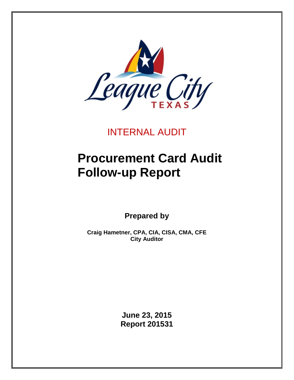

## INTERNAL AUDIT

# **Procurement Card Audit Follow-up Report**

**Prepared by**

**Craig Hametner, CPA, CIA, CISA, CMA, CFE City Auditor**

> **June 23, 2015 Report 201531**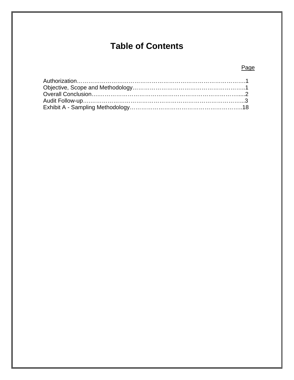## **Table of Contents**

## Page

<span id="page-1-0"></span>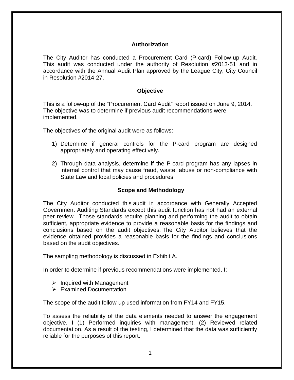#### **Authorization**

The City Auditor has conducted a Procurement Card (P-card) Follow-up Audit. This audit was conducted under the authority of Resolution #2013-51 and in accordance with the Annual Audit Plan approved by the League City, City Council in Resolution #2014-27.

#### **Objective**

<span id="page-2-0"></span>This is a follow-up of the "Procurement Card Audit" report issued on June 9, 2014. The objective was to determine if previous audit recommendations were implemented.

The objectives of the original audit were as follows:

- 1) Determine if general controls for the P-card program are designed appropriately and operating effectively.
- 2) Through data analysis, determine if the P-card program has any lapses in internal control that may cause fraud, waste, abuse or non-compliance with State Law and local policies and procedures

#### **Scope and Methodology**

The City Auditor conducted this audit in accordance with Generally Accepted Government Auditing Standards except this audit function has not had an external peer review. Those standards require planning and performing the audit to obtain sufficient, appropriate evidence to provide a reasonable basis for the findings and conclusions based on the audit objectives. The City Auditor believes that the evidence obtained provides a reasonable basis for the findings and conclusions based on the audit objectives.

The sampling methodology is discussed in Exhibit A.

In order to determine if previous recommendations were implemented, I:

- $\triangleright$  Inquired with Management
- $\triangleright$  Examined Documentation

The scope of the audit follow-up used information from FY14 and FY15.

To assess the reliability of the data elements needed to answer the engagement objective, I (1) Performed inquiries with management, (2) Reviewed related documentation. As a result of the testing, I determined that the data was sufficiently reliable for the purposes of this report.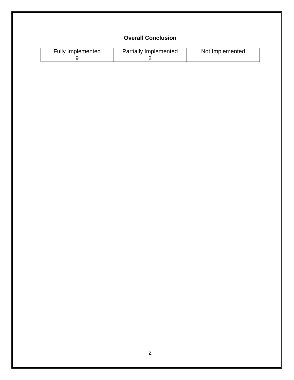## **Overall Conclusion**

<span id="page-3-0"></span>

| <b>Fully Implemented</b> | <b>Partially Implemented</b> | Not Implemented |
|--------------------------|------------------------------|-----------------|
|                          |                              |                 |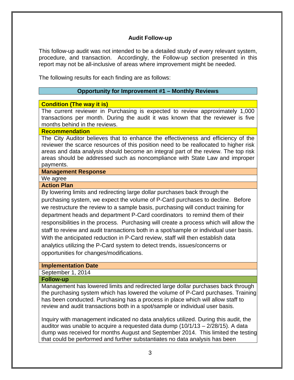#### **Audit Follow-up**

This follow-up audit was not intended to be a detailed study of every relevant system, procedure, and transaction. Accordingly, the Follow-up section presented in this report may not be all-inclusive of areas where improvement might be needed.

The following results for each finding are as follows:

#### **Opportunity for Improvement #1 – Monthly Reviews**

#### **Condition (The way it is)**

The current reviewer in Purchasing is expected to review approximately 1,000 transactions per month. During the audit it was known that the reviewer is five months behind in the reviews.

#### **Recommendation**

The City Auditor believes that to enhance the effectiveness and efficiency of the reviewer the scarce resources of this position need to be reallocated to higher risk areas and data analysis should become an integral part of the review. The top risk areas should be addressed such as noncompliance with State Law and improper payments.

#### **Management Response**

### We agree

### **Action Plan**

By lowering limits and redirecting large dollar purchases back through the purchasing system, we expect the volume of P-Card purchases to decline. Before we restructure the review to a sample basis, purchasing will conduct training for department heads and department P-Card coordinators to remind them of their responsibilities in the process. Purchasing will create a process which will allow the staff to review and audit transactions both in a spot/sample or individual user basis. With the anticipated reduction in P-Card review, staff will then establish data analytics utilizing the P-Card system to detect trends, issues/concerns or opportunities for changes/modifications.

#### **Implementation Date**

September 1, 2014

#### **Follow-up**

Management has lowered limits and redirected large dollar purchases back through the purchasing system which has lowered the volume of P-Card purchases. Training has been conducted. Purchasing has a process in place which will allow staff to review and audit transactions both in a spot/sample or individual user basis.

Inquiry with management indicated no data analytics utilized. During this audit, the auditor was unable to acquire a requested data dump (10/1/13 – 2/28/15). A data dump was received for months August and September 2014. This limited the testing that could be performed and further substantiates no data analysis has been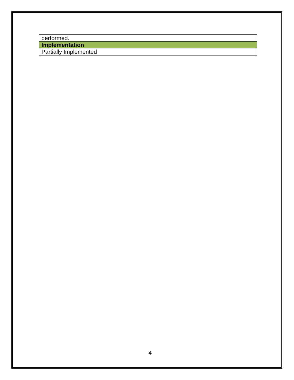performed.

**Implementation**

Partially Implemented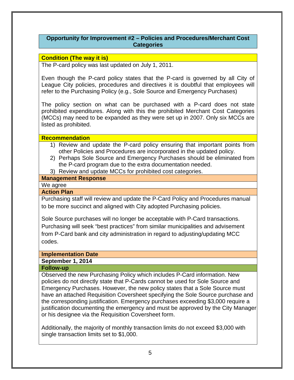#### **Opportunity for Improvement #2 – Policies and Procedures/Merchant Cost Categories**

#### **Condition (The way it is)**

The P-card policy was last updated on July 1, 2011.

Even though the P-card policy states that the P-card is governed by all City of League City policies, procedures and directives it is doubtful that employees will refer to the Purchasing Policy (e.g., Sole Source and Emergency Purchases)

The policy section on what can be purchased with a P-card does not state prohibited expenditures. Along with this the prohibited Merchant Cost Categories (MCCs) may need to be expanded as they were set up in 2007. Only six MCCs are listed as prohibited.

#### **Recommendation**

- 1) Review and update the P-card policy ensuring that important points from other Policies and Procedures are incorporated in the updated policy.
- 2) Perhaps Sole Source and Emergency Purchases should be eliminated from the P-card program due to the extra documentation needed.
- 3) Review and update MCCs for prohibited cost categories.

#### **Management Response**

We agree

#### **Action Plan**

Purchasing staff will review and update the P-Card Policy and Procedures manual to be more succinct and aligned with City adopted Purchasing policies.

Sole Source purchases will no longer be acceptable with P-Card transactions. Purchasing will seek "best practices" from similar municipalities and advisement from P-Card bank and city administration in regard to adjusting/updating MCC codes.

## **Implementation Date**

## **September 1, 2014**

#### **Follow-up**

Observed the new Purchasing Policy which includes P-Card information. New policies do not directly state that P-Cards cannot be used for Sole Source and Emergency Purchases. However, the new policy states that a Sole Source must have an attached Requisition Coversheet specifying the Sole Source purchase and the corresponding justification. Emergency purchases exceeding \$3,000 require a justification documenting the emergency and must be approved by the City Manager or his designee via the Requisition Coversheet form.

Additionally, the majority of monthly transaction limits do not exceed \$3,000 with single transaction limits set to \$1,000.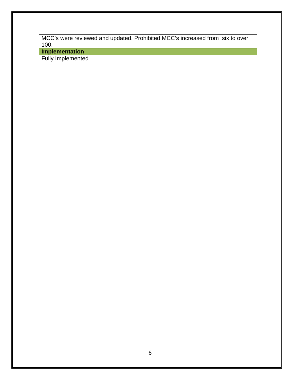MCC's were reviewed and updated. Prohibited MCC's increased from six to over 100.

**Implementation**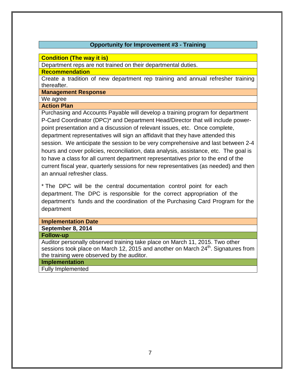#### **Opportunity for Improvement #3 - Training**

**Condition (The way it is)**

Department reps are not trained on their departmental duties.

**Recommendation**

Create a tradition of new department rep training and annual refresher training thereafter.

**Management Response**

We agree

#### **Action Plan**

Purchasing and Accounts Payable will develop a training program for department P-Card Coordinator (DPC)\* and Department Head/Director that will include powerpoint presentation and a discussion of relevant issues, etc. Once complete, department representatives will sign an affidavit that they have attended this session. We anticipate the session to be very comprehensive and last between 2-4 hours and cover policies, reconciliation, data analysis, assistance, etc. The goal is to have a class for all current department representatives prior to the end of the current fiscal year, quarterly sessions for new representatives (as needed) and then an annual refresher class.

\* The DPC will be the central documentation control point for each department. The DPC is responsible for the correct appropriation of the department's funds and the coordination of the Purchasing Card Program for the department

| <b>Implementation Date</b>                                                                    |
|-----------------------------------------------------------------------------------------------|
| September 8, 2014                                                                             |
| <b>Follow-up</b>                                                                              |
| Auditor personally observed training take place on March 11, 2015. Two other                  |
| sessions took place on March 12, 2015 and another on March 24 <sup>th</sup> . Signatures from |
| the training were observed by the auditor.                                                    |

#### **Implementation**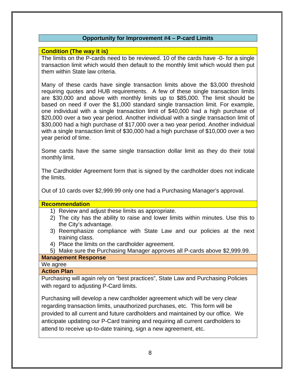#### **Opportunity for Improvement #4 – P-card Limits**

#### **Condition (The way it is)**

The limits on the P-cards need to be reviewed. 10 of the cards have -0- for a single transaction limit which would then default to the monthly limit which would then put them within State law criteria.

Many of these cards have single transaction limits above the \$3,000 threshold requiring quotes and HUB requirements. A few of these single transaction limits are \$30,000 and above with monthly limits up to \$85,000. The limit should be based on need if over the \$1,000 standard single transaction limit. For example, one individual with a single transaction limit of \$40,000 had a high purchase of \$20,000 over a two year period. Another individual with a single transaction limit of \$30,000 had a high purchase of \$17,000 over a two year period. Another individual with a single transaction limit of \$30,000 had a high purchase of \$10,000 over a two year period of time.

Some cards have the same single transaction dollar limit as they do their total monthly limit.

The Cardholder Agreement form that is signed by the cardholder does not indicate the limits.

Out of 10 cards over \$2,999.99 only one had a Purchasing Manager's approval.

#### **Recommendation**

- 1) Review and adjust these limits as appropriate.
- 2) The city has the ability to raise and lower limits within minutes. Use this to the City's advantage.
- 3) Reemphasize compliance with State Law and our policies at the next training class.
- 4) Place the limits on the cardholder agreement.
- 5) Make sure the Purchasing Manager approves all P-cards above \$2,999.99.

### **Management Response**

We agree

#### **Action Plan**

Purchasing will again rely on "best practices", State Law and Purchasing Policies with regard to adjusting P-Card limits.

Purchasing will develop a new cardholder agreement which will be very clear regarding transaction limits, unauthorized purchases, etc. This form will be provided to all current and future cardholders and maintained by our office. We anticipate updating our P-Card training and requiring all current cardholders to attend to receive up-to-date training, sign a new agreement, etc.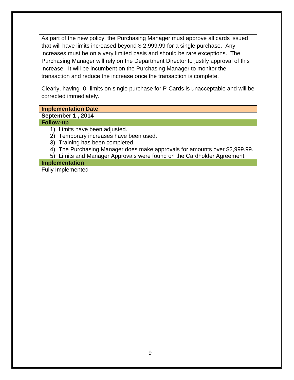As part of the new policy, the Purchasing Manager must approve all cards issued that will have limits increased beyond \$ 2,999.99 for a single purchase. Any increases must be on a very limited basis and should be rare exceptions. The Purchasing Manager will rely on the Department Director to justify approval of this increase. It will be incumbent on the Purchasing Manager to monitor the transaction and reduce the increase once the transaction is complete.

Clearly, having -0- limits on single purchase for P-Cards is unacceptable and will be corrected immediately.

#### **Implementation Date**

#### **September 1 , 2014**

#### **Follow-up**

- 1) Limits have been adjusted.
- 2) Temporary increases have been used.
- 3) Training has been completed.
- 4) The Purchasing Manager does make approvals for amounts over \$2,999.99.
- 5) Limits and Manager Approvals were found on the Cardholder Agreement.

#### **Implementation**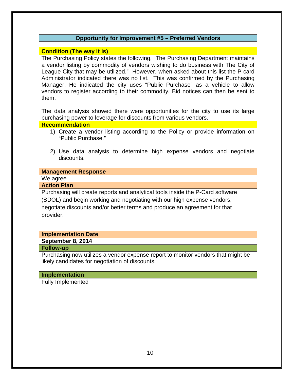#### **Opportunity for Improvement #5 – Preferred Vendors**

#### **Condition (The way it is)**

The Purchasing Policy states the following, "The Purchasing Department maintains a vendor listing by commodity of vendors wishing to do business with The City of League City that may be utilized." However, when asked about this list the P-card Administrator indicated there was no list. This was confirmed by the Purchasing Manager. He indicated the city uses "Public Purchase" as a vehicle to allow vendors to register according to their commodity. Bid notices can then be sent to them.

The data analysis showed there were opportunities for the city to use its large purchasing power to leverage for discounts from various vendors.

#### **Recommendation**

- 1) Create a vendor listing according to the Policy or provide information on "Public Purchase."
- 2) Use data analysis to determine high expense vendors and negotiate discounts.

#### **Management Response**

## We agree

## **Action Plan**

Purchasing will create reports and analytical tools inside the P-Card software (SDOL) and begin working and negotiating with our high expense vendors, negotiate discounts and/or better terms and produce an agreement for that provider.

#### **Implementation Date**

#### **September 8, 2014**

#### **Follow-up**

Purchasing now utilizes a vendor expense report to monitor vendors that might be likely candidates for negotiation of discounts.

#### **Implementation**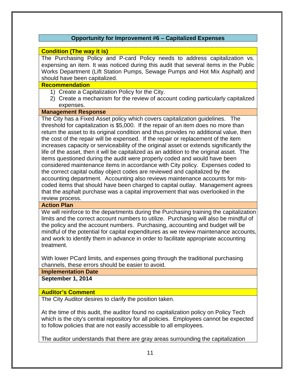#### **Opportunity for Improvement #6 – Capitalized Expenses**

#### **Condition (The way it is)**

The Purchasing Policy and P-card Policy needs to address capitalization vs. expensing an item. It was noticed during this audit that several items in the Public Works Department (Lift Station Pumps, Sewage Pumps and Hot Mix Asphalt) and should have been capitalized.

#### **Recommendation**

- 1) Create a Capitalization Policy for the City.
- 2) Create a mechanism for the review of account coding particularly capitalized expenses.

#### **Management Response**

The City has a Fixed Asset policy which covers capitalization guidelines. The threshold for capitalization is \$5,000. If the repair of an item does no more than return the asset to its original condition and thus provides no additional value, then the cost of the repair will be expensed. If the repair or replacement of the item increases capacity or serviceability of the original asset or extends significantly the life of the asset, then it will be capitalized as an addition to the original asset. The items questioned during the audit were properly coded and would have been considered maintenance items in accordance with City policy. Expenses coded to the correct capital outlay object codes are reviewed and capitalized by the accounting department. Accounting also reviews maintenance accounts for miscoded items that should have been charged to capital outlay. Management agrees that the asphalt purchase was a capital improvement that was overlooked in the review process.

#### **Action Plan**

We will reinforce to the departments during the Purchasing training the capitalization limits and the correct account numbers to utilize. Purchasing will also be mindful of the policy and the account numbers. Purchasing, accounting and budget will be mindful of the potential for capital expenditures as we review maintenance accounts, and work to identify them in advance in order to facilitate appropriate accounting treatment.

With lower PCard limits, and expenses going through the traditional purchasing channels, these errors should be easier to avoid.

**Implementation Date**

**September 1, 2014** 

#### **Auditor's Comment**

The City Auditor desires to clarify the position taken.

At the time of this audit, the auditor found no capitalization policy on Policy Tech which is the city's central repository for all policies. Employees cannot be expected to follow policies that are not easily accessible to all employees.

The auditor understands that there are gray areas surrounding the capitalization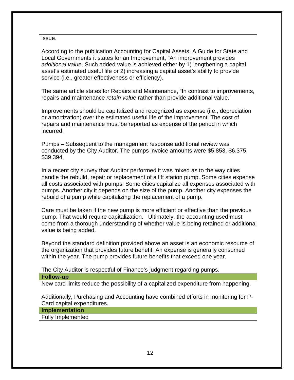issue.

According to the publication Accounting for Capital Assets, A Guide for State and Local Governments it states for an Improvement, "An improvement provides *additional value*. Such added value is achieved either by 1) lengthening a capital asset's estimated useful life or 2) increasing a capital asset's ability to provide service (i.e., greater effectiveness or efficiency).

The same article states for Repairs and Maintenance, "In contrast to improvements, repairs and maintenance *retain value* rather than provide additional value."

Improvements should be capitalized and recognized as expense (i.e., depreciation or amortization) over the estimated useful life of the improvement. The cost of repairs and maintenance must be reported as expense of the period in which incurred.

Pumps – Subsequent to the management response additional review was conducted by the City Auditor. The pumps invoice amounts were \$5,853, \$6,375, \$39,394.

In a recent city survey that Auditor performed it was mixed as to the way cities handle the rebuild, repair or replacement of a lift station pump. Some cities expense all costs associated with pumps. Some cities capitalize all expenses associated with pumps. Another city it depends on the size of the pump. Another city expenses the rebuild of a pump while capitalizing the replacement of a pump.

Care must be taken if the new pump is more efficient or effective than the previous pump. That would require capitalization. Ultimately, the accounting used must come from a thorough understanding of whether value is being retained or additional value is being added.

Beyond the standard definition provided above an asset is an economic resource of the organization that provides future benefit. An expense is generally consumed within the year. The pump provides future benefits that exceed one year.

The City Auditor is respectful of Finance's judgment regarding pumps.

#### **Follow-up**

New card limits reduce the possibility of a capitalized expenditure from happening.

Additionally, Purchasing and Accounting have combined efforts in monitoring for P-Card capital expenditures.

**Implementation**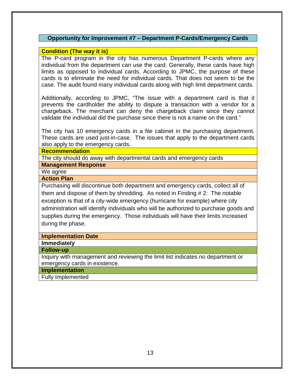#### **Opportunity for Improvement #7 – Department P-Cards/Emergency Cards**

#### **Condition (The way it is)**

The P-card program in the city has numerous Department P-cards where any individual from the department can use the card. Generally, these cards have high limits as opposed to individual cards. According to JPMC, the purpose of these cards is to eliminate the need for individual cards. That does not seem to be the case. The audit found many individual cards along with high limit department cards.

Additionally, according to JPMC, "The issue with a department card is that it prevents the cardholder the ability to dispute a transaction with a vendor for a chargeback. The merchant can deny the chargeback claim since they cannot validate the individual did the purchase since there is not a name on the card."

The city has 10 emergency cards in a file cabinet in the purchasing department. These cards are used just-in-case. The issues that apply to the department cards also apply to the emergency cards.

#### **Recommendation**

The city should do away with departmental cards and emergency cards

#### **Management Response**

We agree

#### **Action Plan**

Purchasing will discontinue both department and emergency cards, collect all of them and dispose of them by shredding. As noted in Finding # 2: The notable exception is that of a city-wide emergency (hurricane for example) where city administration will identify individuals who will be authorized to purchase goods and supplies during the emergency. Those individuals will have their limits increased during the phase.

#### **Implementation Date**

**Immediately**

#### **Follow-up**

Inquiry with management and reviewing the limit list indicates no department or emergency cards in existence.

**Implementation**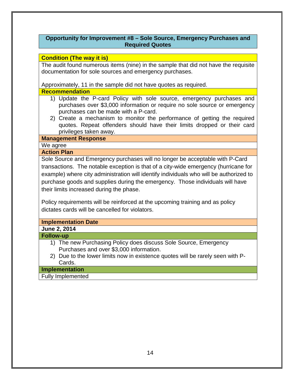#### **Opportunity for Improvement #8 – Sole Source, Emergency Purchases and Required Quotes**

#### **Condition (The way it is)**

The audit found numerous items (nine) in the sample that did not have the requisite documentation for sole sources and emergency purchases.

Approximately, 11 in the sample did not have quotes as required.

#### **Recommendation**

- 1) Update the P-card Policy with sole source, emergency purchases and purchases over \$3,000 information or require no sole source or emergency purchases can be made with a P-card.
- 2) Create a mechanism to monitor the performance of getting the required quotes. Repeat offenders should have their limits dropped or their card privileges taken away.

#### **Management Response**

We agree

#### **Action Plan**

Sole Source and Emergency purchases will no longer be acceptable with P-Card transactions. The notable exception is that of a city-wide emergency (hurricane for example) where city administration will identify individuals who will be authorized to purchase goods and supplies during the emergency. Those individuals will have their limits increased during the phase.

Policy requirements will be reinforced at the upcoming training and as policy dictates cards will be cancelled for violators.

| Implementation Date                                                            |
|--------------------------------------------------------------------------------|
| June 2, 2014                                                                   |
| <b>Follow-up</b>                                                               |
| 1) The new Purchasing Policy does discuss Sole Source, Emergency               |
| Purchases and over \$3,000 information.                                        |
| 2) Due to the lower limits now in existence quotes will be rarely seen with P- |
| Cards.                                                                         |
| Implementation                                                                 |
|                                                                                |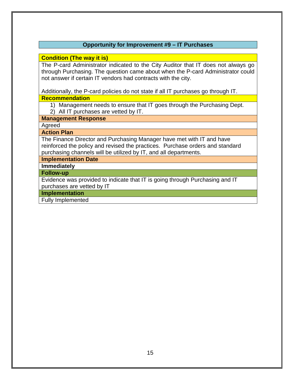#### **Opportunity for Improvement #9 – IT Purchases**

#### **Condition (The way it is)**

The P-card Administrator indicated to the City Auditor that IT does not always go through Purchasing. The question came about when the P-card Administrator could not answer if certain IT vendors had contracts with the city.

Additionally, the P-card policies do not state if all IT purchases go through IT. **Recommendation**

1) Management needs to ensure that IT goes through the Purchasing Dept. 2) All IT purchases are vetted by IT.

#### **Management Response**

Agreed

**Action Plan**

The Finance Director and Purchasing Manager have met with IT and have reinforced the policy and revised the practices. Purchase orders and standard purchasing channels will be utilized by IT, and all departments.

**Implementation Date**

**Immediately**

**Follow-up**

Evidence was provided to indicate that IT is going through Purchasing and IT purchases are vetted by IT

**Implementation**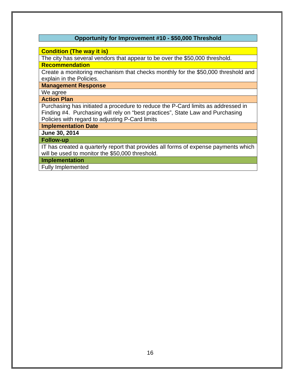#### **Opportunity for Improvement #10 - \$50,000 Threshold**

#### **Condition (The way it is)**

The city has several vendors that appear to be over the \$50,000 threshold.

**Recommendation**

Create a monitoring mechanism that checks monthly for the \$50,000 threshold and explain in the Policies.

**Management Response**

We agree

#### **Action Plan**

Purchasing has initiated a procedure to reduce the P-Card limits as addressed in Finding #4. Purchasing will rely on "best practices", State Law and Purchasing Policies with regard to adjusting P-Card limits

**Implementation Date**

**June 30, 2014**

#### **Follow-up**

IT has created a quarterly report that provides all forms of expense payments which will be used to monitor the \$50,000 threshold.

**Implementation**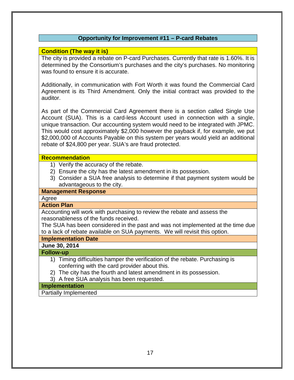#### **Opportunity for Improvement #11 – P-card Rebates**

#### **Condition (The way it is)**

The city is provided a rebate on P-card Purchases. Currently that rate is 1.60%. It is determined by the Consortium's purchases and the city's purchases. No monitoring was found to ensure it is accurate.

Additionally, in communication with Fort Worth it was found the Commercial Card Agreement is its Third Amendment. Only the initial contract was provided to the auditor.

As part of the Commercial Card Agreement there is a section called Single Use Account (SUA). This is a card-less Account used in connection with a single, unique transaction. Our accounting system would need to be integrated with JPMC. This would cost approximately \$2,000 however the payback if, for example, we put \$2,000,000 of Accounts Payable on this system per years would yield an additional rebate of \$24,800 per year. SUA's are fraud protected.

#### **Recommendation**

- 1) Verify the accuracy of the rebate.
- 2) Ensure the city has the latest amendment in its possession.
- 3) Consider a SUA free analysis to determine if that payment system would be advantageous to the city.

#### **Management Response**

Agree

#### **Action Plan**

Accounting will work with purchasing to review the rebate and assess the reasonableness of the funds received.

The SUA has been considered in the past and was not implemented at the time due to a lack of rebate available on SUA payments. We will revisit this option.

#### **Implementation Date**

**June 30, 2014**

#### **Follow-up**

- 1) Timing difficulties hamper the verification of the rebate. Purchasing is conferring with the card provider about this.
- 2) The city has the fourth and latest amendment in its possession.
- 3) A free SUA analysis has been requested.

#### **Implementation**

Partially Implemented